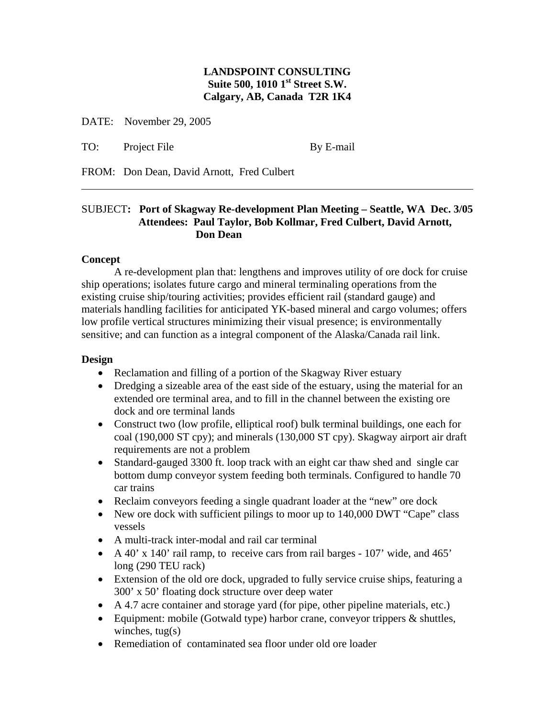# **LANDSPOINT CONSULTING Suite 500, 1010 1st Street S.W. Calgary, AB, Canada T2R 1K4**

DATE: November 29, 2005

TO: Project File By E-mail

FROM: Don Dean, David Arnott, Fred Culbert

# SUBJECT**: Port of Skagway Re-development Plan Meeting – Seattle, WA Dec. 3/05 Attendees: Paul Taylor, Bob Kollmar, Fred Culbert, David Arnott, Don Dean**

### **Concept**

 $\overline{a}$ 

A re-development plan that: lengthens and improves utility of ore dock for cruise ship operations; isolates future cargo and mineral terminaling operations from the existing cruise ship/touring activities; provides efficient rail (standard gauge) and materials handling facilities for anticipated YK-based mineral and cargo volumes; offers low profile vertical structures minimizing their visual presence; is environmentally sensitive; and can function as a integral component of the Alaska/Canada rail link.

#### **Design**

- Reclamation and filling of a portion of the Skagway River estuary
- Dredging a sizeable area of the east side of the estuary, using the material for an extended ore terminal area, and to fill in the channel between the existing ore dock and ore terminal lands
- Construct two (low profile, elliptical roof) bulk terminal buildings, one each for coal (190,000 ST cpy); and minerals (130,000 ST cpy). Skagway airport air draft requirements are not a problem
- Standard-gauged 3300 ft. loop track with an eight car thaw shed and single car bottom dump conveyor system feeding both terminals. Configured to handle 70 car trains
- Reclaim conveyors feeding a single quadrant loader at the "new" ore dock
- New ore dock with sufficient pilings to moor up to 140,000 DWT "Cape" class vessels
- A multi-track inter-modal and rail car terminal
- A 40' x 140' rail ramp, to receive cars from rail barges 107' wide, and 465' long (290 TEU rack)
- Extension of the old ore dock, upgraded to fully service cruise ships, featuring a 300' x 50' floating dock structure over deep water
- A 4.7 acre container and storage yard (for pipe, other pipeline materials, etc.)
- Equipment: mobile (Gotwald type) harbor crane, conveyor trippers & shuttles, winches,  $tug(s)$
- Remediation of contaminated sea floor under old ore loader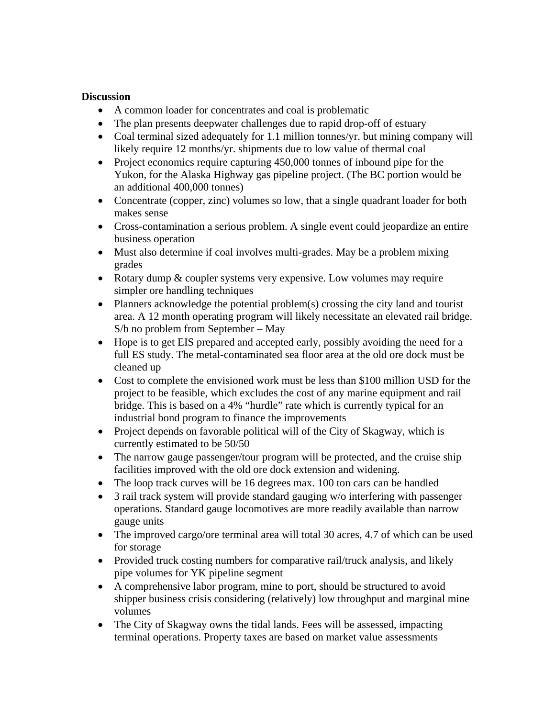# **Discussion**

- A common loader for concentrates and coal is problematic
- The plan presents deepwater challenges due to rapid drop-off of estuary
- Coal terminal sized adequately for 1.1 million tonnes/yr. but mining company will likely require 12 months/yr. shipments due to low value of thermal coal
- Project economics require capturing 450,000 tonnes of inbound pipe for the Yukon, for the Alaska Highway gas pipeline project. (The BC portion would be an additional 400,000 tonnes)
- Concentrate (copper, zinc) volumes so low, that a single quadrant loader for both makes sense
- Cross-contamination a serious problem. A single event could jeopardize an entire business operation
- Must also determine if coal involves multi-grades. May be a problem mixing grades
- Rotary dump & coupler systems very expensive. Low volumes may require simpler ore handling techniques
- Planners acknowledge the potential problem(s) crossing the city land and tourist area. A 12 month operating program will likely necessitate an elevated rail bridge. S/b no problem from September – May
- Hope is to get EIS prepared and accepted early, possibly avoiding the need for a full ES study. The metal-contaminated sea floor area at the old ore dock must be cleaned up
- Cost to complete the envisioned work must be less than \$100 million USD for the project to be feasible, which excludes the cost of any marine equipment and rail bridge. This is based on a 4% "hurdle" rate which is currently typical for an industrial bond program to finance the improvements
- Project depends on favorable political will of the City of Skagway, which is currently estimated to be 50/50
- The narrow gauge passenger/tour program will be protected, and the cruise ship facilities improved with the old ore dock extension and widening.
- The loop track curves will be 16 degrees max. 100 ton cars can be handled
- 3 rail track system will provide standard gauging w/o interfering with passenger operations. Standard gauge locomotives are more readily available than narrow gauge units
- The improved cargo/ore terminal area will total 30 acres, 4.7 of which can be used for storage
- Provided truck costing numbers for comparative rail/truck analysis, and likely pipe volumes for YK pipeline segment
- A comprehensive labor program, mine to port, should be structured to avoid shipper business crisis considering (relatively) low throughput and marginal mine volumes
- The City of Skagway owns the tidal lands. Fees will be assessed, impacting terminal operations. Property taxes are based on market value assessments